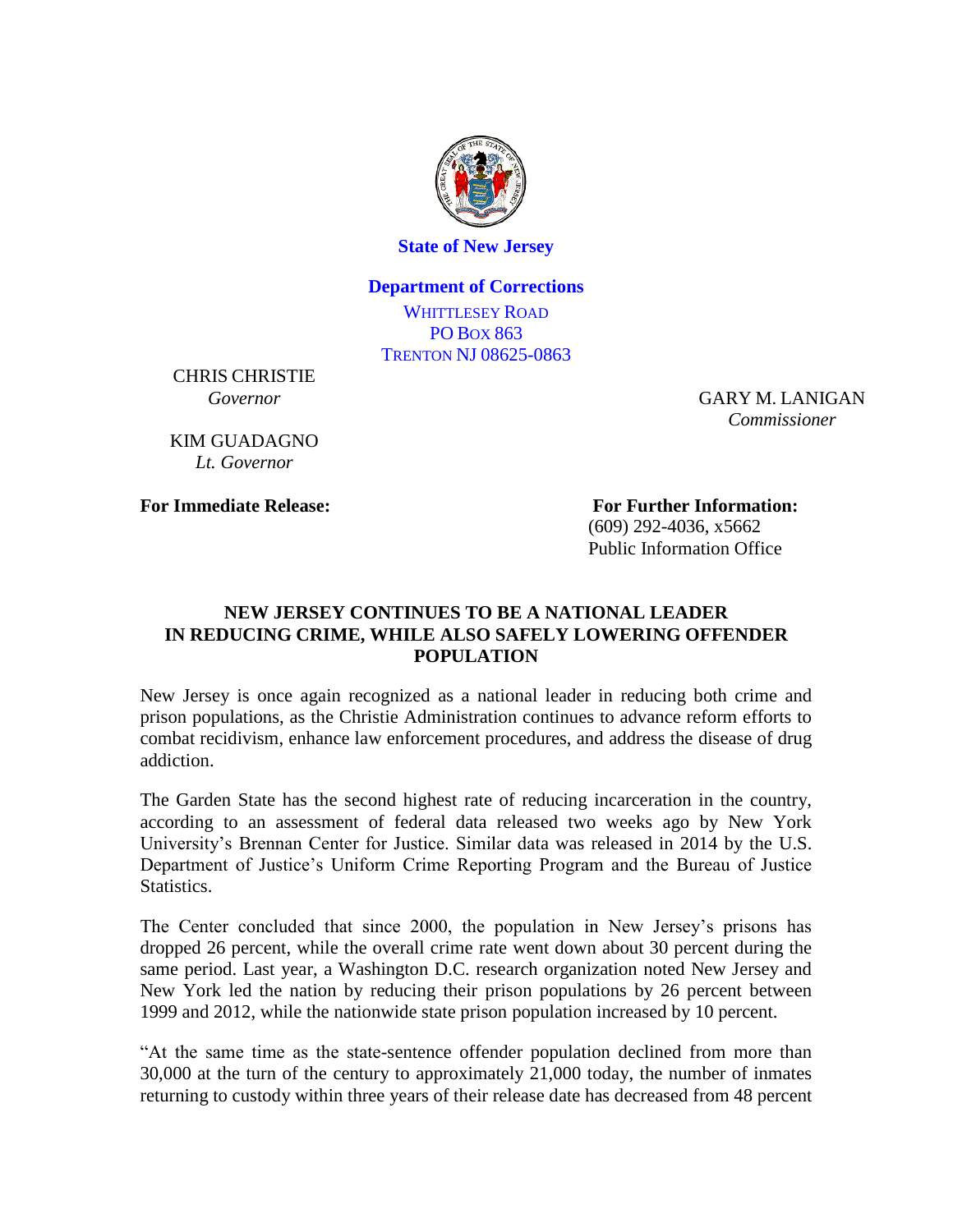

**State of New Jersey**

## **Department of Corrections**

WHITTLESEY ROAD PO BOX 863 TRENTON NJ 08625-0863

CHRIS CHRISTIE *Governor*

KIM GUADAGNO *Lt. Governor*

GARY M. LANIGAN *Commissioner*

**For Immediate Release: For Further Information:** (609) 292-4036, x5662 Public Information Office

## **NEW JERSEY CONTINUES TO BE A NATIONAL LEADER IN REDUCING CRIME, WHILE ALSO SAFELY LOWERING OFFENDER POPULATION**

New Jersey is once again recognized as a national leader in reducing both crime and prison populations, as the Christie Administration continues to advance reform efforts to combat recidivism, enhance law enforcement procedures, and address the disease of drug addiction.

The Garden State has the second highest rate of reducing incarceration in the country, according to an assessment of federal data released two weeks ago by New York University's Brennan Center for Justice. Similar data was released in 2014 by the U.S. Department of Justice's Uniform Crime Reporting Program and the Bureau of Justice Statistics.

The Center concluded that since 2000, the population in New Jersey's prisons has dropped 26 percent, while the overall crime rate went down about 30 percent during the same period. Last year, a Washington D.C. research organization noted New Jersey and New York led the nation by reducing their prison populations by 26 percent between 1999 and 2012, while the nationwide state prison population increased by 10 percent.

"At the same time as the state-sentence offender population declined from more than 30,000 at the turn of the century to approximately 21,000 today, the number of inmates returning to custody within three years of their release date has decreased from 48 percent